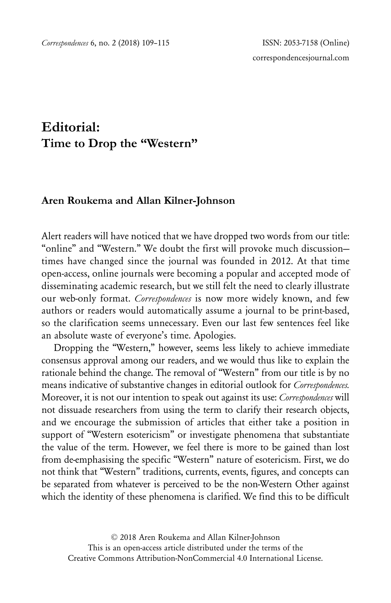## **Editorial: Time to Drop the "Western"**

## **Aren Roukema and Allan Kilner-Johnson**

Alert readers will have noticed that we have dropped two words from our title: "online" and "Western." We doubt the first will provoke much discussion times have changed since the journal was founded in 2012. At that time open-access, online journals were becoming a popular and accepted mode of disseminating academic research, but we still felt the need to clearly illustrate our web-only format. *Correspondences* is now more widely known, and few authors or readers would automatically assume a journal to be print-based, so the clarification seems unnecessary. Even our last few sentences feel like an absolute waste of everyone's time. Apologies.

Dropping the "Western," however, seems less likely to achieve immediate consensus approval among our readers, and we would thus like to explain the rationale behind the change. The removal of "Western" from our title is by no means indicative of substantive changes in editorial outlook for *Correspondences.* Moreover, it is not our intention to speak out against its use: *Correspondences* will not dissuade researchers from using the term to clarify their research objects, and we encourage the submission of articles that either take a position in support of "Western esotericism" or investigate phenomena that substantiate the value of the term. However, we feel there is more to be gained than lost from de-emphasising the specific "Western" nature of esotericism. First, we do not think that "Western" traditions, currents, events, figures, and concepts can be separated from whatever is perceived to be the non-Western Other against which the identity of these phenomena is clarified. We find this to be difficult

© 2018 Aren Roukema and Allan Kilner-Johnson This is an open-access article distributed under the terms of the Creative Commons Attribution-NonCommercial 4.0 International License.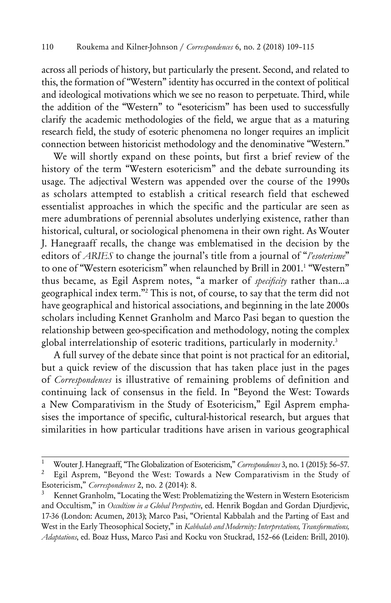across all periods of history, but particularly the present. Second, and related to this, the formation of "Western" identity has occurred in the context of political and ideological motivations which we see no reason to perpetuate. Third, while the addition of the "Western" to "esotericism" has been used to successfully clarify the academic methodologies of the field, we argue that as a maturing research field, the study of esoteric phenomena no longer requires an implicit connection between historicist methodology and the denominative "Western."

We will shortly expand on these points, but first a brief review of the history of the term "Western esotericism" and the debate surrounding its usage. The adjectival Western was appended over the course of the 1990s as scholars attempted to establish a critical research field that eschewed essentialist approaches in which the specific and the particular are seen as mere adumbrations of perennial absolutes underlying existence, rather than historical, cultural, or sociological phenomena in their own right. As Wouter J. Hanegraaff recalls, the change was emblematised in the decision by the editors of *ARIES* to change the journal's title from a journal of "*l'esoterisme*" to one of "Western esotericism" when relaunched by Brill in 2001.1 "Western" thus became, as Egil Asprem notes, "a marker of *specificity* rather than…a geographical index term."2 This is not, of course, to say that the term did not have geographical and historical associations, and beginning in the late 2000s scholars including Kennet Granholm and Marco Pasi began to question the relationship between geo-specification and methodology, noting the complex global interrelationship of esoteric traditions, particularly in modernity.<sup>3</sup>

A full survey of the debate since that point is not practical for an editorial, but a quick review of the discussion that has taken place just in the pages of *Correspondences* is illustrative of remaining problems of definition and continuing lack of consensus in the field. In "Beyond the West: Towards a New Comparativism in the Study of Esotericism," Egil Asprem emphasises the importance of specific, cultural-historical research, but argues that similarities in how particular traditions have arisen in various geographical

<sup>1</sup> Wouter J. Hanegraaff, "The Globalization of Esotericism," *Correspondences* 3, no. 1 (2015): 56–57.

Egil Asprem, "Beyond the West: Towards a New Comparativism in the Study of Esotericism," *Correspondences* 2, no. 2 (2014): 8.

Kennet Granholm, "Locating the West: Problematizing the Western in Western Esotericism and Occultism," in *Occultism in a Global Perspective*, ed. Henrik Bogdan and Gordan Djurdjevic, 17-36 (London: Acumen, 2013); Marco Pasi, "Oriental Kabbalah and the Parting of East and West in the Early Theosophical Society," in *Kabbalah and Modernity: Interpretations, Transformations, Adaptations*, ed. Boaz Huss, Marco Pasi and Kocku von Stuckrad, 152–66 (Leiden: Brill, 2010).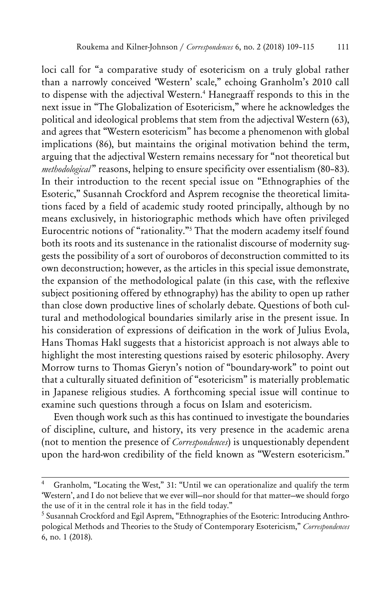loci call for "a comparative study of esotericism on a truly global rather than a narrowly conceived 'Western' scale," echoing Granholm's 2010 call to dispense with the adjectival Western.4 Hanegraaff responds to this in the next issue in "The Globalization of Esotericism," where he acknowledges the political and ideological problems that stem from the adjectival Western (63), and agrees that "Western esotericism" has become a phenomenon with global implications (86), but maintains the original motivation behind the term, arguing that the adjectival Western remains necessary for "not theoretical but *methodological* " reasons, helping to ensure specificity over essentialism (80–83). In their introduction to the recent special issue on "Ethnographies of the Esoteric," Susannah Crockford and Asprem recognise the theoretical limitations faced by a field of academic study rooted principally, although by no means exclusively, in historiographic methods which have often privileged Eurocentric notions of "rationality."5 That the modern academy itself found both its roots and its sustenance in the rationalist discourse of modernity suggests the possibility of a sort of ouroboros of deconstruction committed to its own deconstruction; however, as the articles in this special issue demonstrate, the expansion of the methodological palate (in this case, with the reflexive subject positioning offered by ethnography) has the ability to open up rather than close down productive lines of scholarly debate. Questions of both cultural and methodological boundaries similarly arise in the present issue. In his consideration of expressions of deification in the work of Julius Evola, Hans Thomas Hakl suggests that a historicist approach is not always able to highlight the most interesting questions raised by esoteric philosophy. Avery Morrow turns to Thomas Gieryn's notion of "boundary-work" to point out that a culturally situated definition of "esotericism" is materially problematic in Japanese religious studies. A forthcoming special issue will continue to examine such questions through a focus on Islam and esotericism.

Even though work such as this has continued to investigate the boundaries of discipline, culture, and history, its very presence in the academic arena (not to mention the presence of *Correspondences*) is unquestionably dependent upon the hard-won credibility of the field known as "Western esotericism."

Granholm, "Locating the West," 31: "Until we can operationalize and qualify the term 'Western', and I do not believe that we ever will—nor should for that matter—we should forgo the use of it in the central role it has in the field today."

<sup>&</sup>lt;sup>5</sup> Susannah Crockford and Egil Asprem, "Ethnographies of the Esoteric: Introducing Anthropological Methods and Theories to the Study of Contemporary Esotericism," *Correspondences* 6, no. 1 (2018).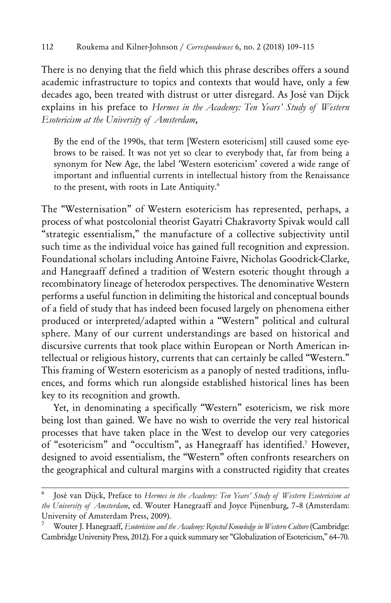There is no denying that the field which this phrase describes offers a sound academic infrastructure to topics and contexts that would have, only a few decades ago, been treated with distrust or utter disregard. As José van Dijck explains in his preface to *Hermes in the Academy: Ten Years' Study of Western Esotericism at the University of Amsterdam*,

By the end of the 1990s, that term [Western esotericism] still caused some eyebrows to be raised. It was not yet so clear to everybody that, far from being a synonym for New Age, the label 'Western esotericism' covered a wide range of important and influential currents in intellectual history from the Renaissance to the present, with roots in Late Antiquity.<sup>6</sup>

The "Westernisation" of Western esotericism has represented, perhaps, a process of what postcolonial theorist Gayatri Chakravorty Spivak would call "strategic essentialism," the manufacture of a collective subjectivity until such time as the individual voice has gained full recognition and expression. Foundational scholars including Antoine Faivre, Nicholas Goodrick-Clarke, and Hanegraaff defined a tradition of Western esoteric thought through a recombinatory lineage of heterodox perspectives. The denominative Western performs a useful function in delimiting the historical and conceptual bounds of a field of study that has indeed been focused largely on phenomena either produced or interpreted/adapted within a "Western" political and cultural sphere. Many of our current understandings are based on historical and discursive currents that took place within European or North American intellectual or religious history, currents that can certainly be called "Western." This framing of Western esotericism as a panoply of nested traditions, influences, and forms which run alongside established historical lines has been key to its recognition and growth.

Yet, in denominating a specifically "Western" esotericism, we risk more being lost than gained. We have no wish to override the very real historical processes that have taken place in the West to develop our very categories of "esotericism" and "occultism", as Hanegraaff has identified.7 However, designed to avoid essentialism, the "Western" often confronts researchers on the geographical and cultural margins with a constructed rigidity that creates

<sup>6</sup> José van Dijck, Preface to *Hermes in the Academy: Ten Years' Study of Western Esotericism at the University of Amsterdam*, ed. Wouter Hanegraaff and Joyce Pijnenburg, 7–8 (Amsterdam: University of Amsterdam Press, 2009).

Wouter J. Hanegraaff, *Esotericism and the Academy: Rejected Knowledge in Western Culture* (Cambridge: Cambridge University Press, 2012). For a quick summary see "Globalization of Esotericism," 64–70.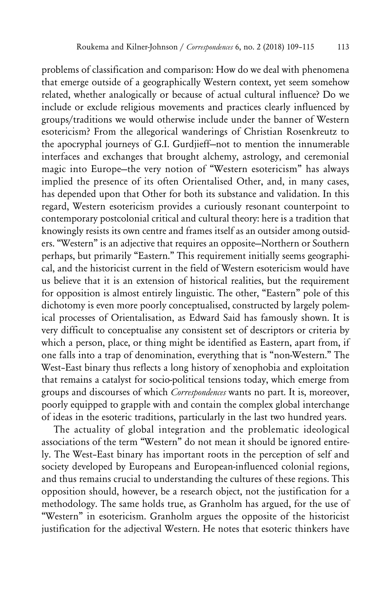problems of classification and comparison: How do we deal with phenomena that emerge outside of a geographically Western context, yet seem somehow related, whether analogically or because of actual cultural influence? Do we include or exclude religious movements and practices clearly influenced by groups/traditions we would otherwise include under the banner of Western esotericism? From the allegorical wanderings of Christian Rosenkreutz to the apocryphal journeys of G.I. Gurdjieff—not to mention the innumerable interfaces and exchanges that brought alchemy, astrology, and ceremonial magic into Europe—the very notion of "Western esotericism" has always implied the presence of its often Orientalised Other, and, in many cases, has depended upon that Other for both its substance and validation. In this regard, Western esotericism provides a curiously resonant counterpoint to contemporary postcolonial critical and cultural theory: here is a tradition that knowingly resists its own centre and frames itself as an outsider among outsiders. "Western" is an adjective that requires an opposite—Northern or Southern perhaps, but primarily "Eastern." This requirement initially seems geographical, and the historicist current in the field of Western esotericism would have us believe that it is an extension of historical realities, but the requirement for opposition is almost entirely linguistic. The other, "Eastern" pole of this dichotomy is even more poorly conceptualised, constructed by largely polemical processes of Orientalisation, as Edward Said has famously shown. It is very difficult to conceptualise any consistent set of descriptors or criteria by which a person, place, or thing might be identified as Eastern, apart from, if one falls into a trap of denomination, everything that is "non-Western." The West–East binary thus reflects a long history of xenophobia and exploitation that remains a catalyst for socio-political tensions today, which emerge from groups and discourses of which *Correspondences* wants no part. It is, moreover, poorly equipped to grapple with and contain the complex global interchange of ideas in the esoteric traditions, particularly in the last two hundred years.

The actuality of global integration and the problematic ideological associations of the term "Western" do not mean it should be ignored entirely. The West–East binary has important roots in the perception of self and society developed by Europeans and European-influenced colonial regions, and thus remains crucial to understanding the cultures of these regions. This opposition should, however, be a research object, not the justification for a methodology. The same holds true, as Granholm has argued, for the use of "Western" in esotericism. Granholm argues the opposite of the historicist justification for the adjectival Western. He notes that esoteric thinkers have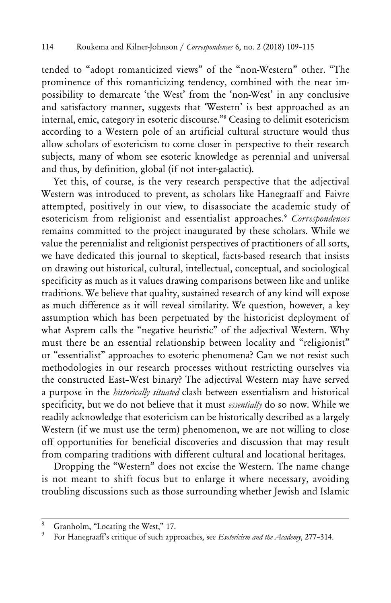tended to "adopt romanticized views" of the "non-Western" other. "The prominence of this romanticizing tendency, combined with the near impossibility to demarcate 'the West' from the 'non-West' in any conclusive and satisfactory manner, suggests that 'Western' is best approached as an internal, emic, category in esoteric discourse."8 Ceasing to delimit esotericism according to a Western pole of an artificial cultural structure would thus allow scholars of esotericism to come closer in perspective to their research subjects, many of whom see esoteric knowledge as perennial and universal and thus, by definition, global (if not inter-galactic).

Yet this, of course, is the very research perspective that the adjectival Western was introduced to prevent, as scholars like Hanegraaff and Faivre attempted, positively in our view, to disassociate the academic study of esotericism from religionist and essentialist approaches.9 *Correspondences*  remains committed to the project inaugurated by these scholars. While we value the perennialist and religionist perspectives of practitioners of all sorts, we have dedicated this journal to skeptical, facts-based research that insists on drawing out historical, cultural, intellectual, conceptual, and sociological specificity as much as it values drawing comparisons between like and unlike traditions. We believe that quality, sustained research of any kind will expose as much difference as it will reveal similarity. We question, however, a key assumption which has been perpetuated by the historicist deployment of what Asprem calls the "negative heuristic" of the adjectival Western. Why must there be an essential relationship between locality and "religionist" or "essentialist" approaches to esoteric phenomena? Can we not resist such methodologies in our research processes without restricting ourselves via the constructed East–West binary? The adjectival Western may have served a purpose in the *historically situated* clash between essentialism and historical specificity, but we do not believe that it must *essentially* do so now. While we readily acknowledge that esotericism can be historically described as a largely Western (if we must use the term) phenomenon, we are not willing to close off opportunities for beneficial discoveries and discussion that may result from comparing traditions with different cultural and locational heritages.

Dropping the "Western" does not excise the Western. The name change is not meant to shift focus but to enlarge it where necessary, avoiding troubling discussions such as those surrounding whether Jewish and Islamic

<sup>&</sup>lt;sup>8</sup> Granholm, "Locating the West," 17.<br><sup>9</sup> External Hangers of Suppose the Suppose of Suppose the Suppose of Suppose that

<sup>9</sup> For Hanegraaff's critique of such approaches, see *Esotericism and the Academy*, 277–314.